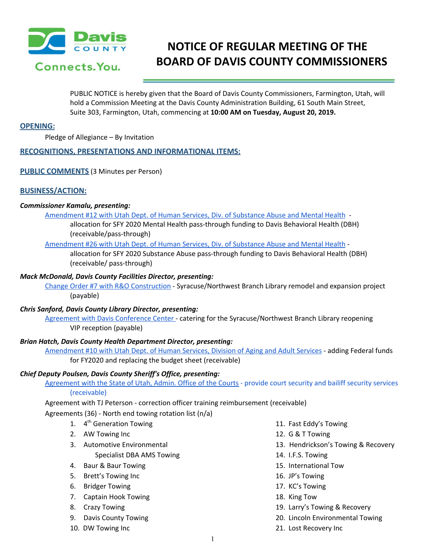

# **NOTICE OF REGULAR MEETING OF THE BOARD OF DAVIS COUNTY COMMISSIONERS**

PUBLIC NOTICE is hereby given that the Board of Davis County Commissioners, Farmington, Utah, will hold a Commission Meeting at the Davis County Administration Building, 61 South Main Street, Suite 303, Farmington, Utah, commencing at **10:00 AM on Tuesday, August 20, 2019.**

## **OPENING:**

Pledge of Allegiance – By Invitation

# **RECOGNITIONS, PRESENTATIONS AND INFORMATIONAL ITEMS:**

## **PUBLIC COMMENTS** (3 Minutes per Person)

# **BUSINESS/ACTION:**

### *Commissioner Kamalu, presenting:*

[Amendment](https://drive.google.com/a/co.davis.ut.us/file/d/1xktCwxhgthmJ14F3SdsSuRsG6KzzdMQ2/view?usp=drivesdk) #12 with Utah Dept. of Human Services, Div. of Substance Abuse and Mental Health -

allocation for SFY 2020 Mental Health pass-through funding to Davis Behavioral Health (DBH) (receivable/pass-through)

## [Amendment](https://drive.google.com/a/co.davis.ut.us/file/d/19a5gsIb0cwccYHYHIQsgFA7uc2jSpzCM/view?usp=drivesdk) #26 with Utah Dept. of Human Services, Div. of Substance Abuse and Mental Health -

allocation for SFY 2020 Substance Abuse pass-through funding to Davis Behavioral Health (DBH) (receivable/ pass-through)

## *Mack McDonald, Davis County Facilities Director, presenting:*

Change Order #7 with R&O [Construction](https://drive.google.com/a/co.davis.ut.us/file/d/1RlfM3O2Asgq7KQEXM_9WU8tb_Grx7PvI/view?usp=drivesdk) - Syracuse/Northwest Branch Library remodel and expansion project (payable)

## *Chris Sanford, Davis County Library Director, presenting:*

Agreement with Davis [Conference](https://drive.google.com/a/co.davis.ut.us/file/d/19MIBseFLMTWr2SWUDFM7I3gY62_ghbGZ/view?usp=drivesdk) Center - catering for the Syracuse/Northwest Branch Library reopening VIP reception (payable)

### *Brian Hatch, Davis County Health Department Director, presenting:*

[Amendment](https://drive.google.com/a/co.davis.ut.us/file/d/1iq2_PP5ATMA3f6P-MDXhsKCI8oGLNO1T/view?usp=drivesdk) #10 with Utah Dept. of Human Services, Division of Aging and Adult Services - adding Federal funds for FY2020 and replacing the budget sheet (receivable)

# *Chief Deputy Poulsen, Davis County Sheriff's Office, presenting:*

[Agreement](https://drive.google.com/a/co.davis.ut.us/file/d/1oeYxnOYtuc8mu99XyfEUyzRr5o2NG5XA/view?usp=drivesdk) with the State of Utah, Admin. Office of the Courts - provide court security and bailiff security [services](https://drive.google.com/a/co.davis.ut.us/file/d/1oeYxnOYtuc8mu99XyfEUyzRr5o2NG5XA/view?usp=drivesdk) [\(receivable\)](https://drive.google.com/a/co.davis.ut.us/file/d/1oeYxnOYtuc8mu99XyfEUyzRr5o2NG5XA/view?usp=drivesdk)

Agreement with TJ Peterson - correction officer training [reimbursement](https://drive.google.com/a/co.davis.ut.us/file/d/1jQjJa_RhKqEwTq7F91N9QvWbx_YnMYeC/view?usp=drivesdk) (receivable)

### [Agreements](https://drive.google.com/a/co.davis.ut.us/file/d/1WkGVwn5Cmb7SCW9Cxpgji1XzrGf7o9Wl/view?usp=drivesdk) (36) - North end towing rotation list (n/a[\)](https://drive.google.com/a/co.davis.ut.us/file/d/1WkGVwn5Cmb7SCW9Cxpgji1XzrGf7o9Wl/view?usp=drivesdk)

- 1. 4<sup>th</sup> Generation Towing
- 2. AW Towing Inc
- 3. Automotive Environmental
	- Specialist DBA AMS Towing
- 4. Baur & Baur Towing
- 5. Brett's Towing Inc
- 6. Bridger Towing
- 7. Captain Hook Towing
- 8. Crazy Towing
- 9. Davis County Towing
- 10. DW Towing Inc
- 11. Fast Eddy's Towing
- 12. G & T Towing
- 13. Hendrickson's Towing & Recovery
- 14. I.F.S. Towing
- 15. International Tow
- 16. JP's Towing
- 17. KC's Towing
- 18. King Tow
- 19. Larry's Towing & Recovery
- 20. Lincoln Environmental Towing
- 21. Lost Recovery Inc